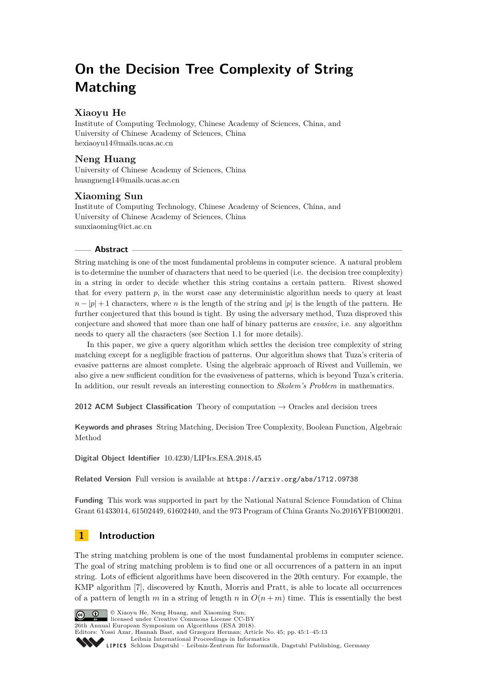# **On the Decision Tree Complexity of String Matching**

# **Xiaoyu He**

Institute of Computing Technology, Chinese Academy of Sciences, China, and University of Chinese Academy of Sciences, China [hexiaoyu14@mails.ucas.ac.cn](mailto:hexiaoyu14@mails.ucas.ac.cn)

# **Neng Huang**

University of Chinese Academy of Sciences, China [huangneng14@mails.ucas.ac.cn](mailto:huangneng14@mails.ucas.ac.cn)

# **Xiaoming Sun**

Institute of Computing Technology, Chinese Academy of Sciences, China, and University of Chinese Academy of Sciences, China [sunxiaoming@ict.ac.cn](mailto:sunxiaoming@ict.ac.cn)

# **Abstract**

String matching is one of the most fundamental problems in computer science. A natural problem is to determine the number of characters that need to be queried (i.e. the decision tree complexity) in a string in order to decide whether this string contains a certain pattern. Rivest showed that for every pattern *p*, in the worst case any deterministic algorithm needs to query at least  $n - |p| + 1$  characters, where *n* is the length of the string and |*p*| is the length of the pattern. He further conjectured that this bound is tight. By using the adversary method, Tuza disproved this conjecture and showed that more than one half of binary patterns are *evasive*, i.e. any algorithm needs to query all the characters (see Section 1.1 for more details).

In this paper, we give a query algorithm which settles the decision tree complexity of string matching except for a negligible fraction of patterns. Our algorithm shows that Tuza's criteria of evasive patterns are almost complete. Using the algebraic approach of Rivest and Vuillemin, we also give a new sufficient condition for the evasiveness of patterns, which is beyond Tuza's criteria. In addition, our result reveals an interesting connection to *Skolem's Problem* in mathematics.

**2012 ACM Subject Classification** Theory of computation → Oracles and decision trees

**Keywords and phrases** String Matching, Decision Tree Complexity, Boolean Function, Algebraic Method

**Digital Object Identifier** [10.4230/LIPIcs.ESA.2018.45](http://dx.doi.org/10.4230/LIPIcs.ESA.2018.45)

**Related Version** Full version is available at <https://arxiv.org/abs/1712.09738>

**Funding** This work was supported in part by the National Natural Science Foundation of China Grant 61433014, 61502449, 61602440, and the 973 Program of China Grants No.2016YFB1000201.

# **1 Introduction**

The string matching problem is one of the most fundamental problems in computer science. The goal of string matching problem is to find one or all occurrences of a pattern in an input string. Lots of efficient algorithms have been discovered in the 20th century. For example, the KMP algorithm [\[7\]](#page-12-0), discovered by Knuth, Morris and Pratt, is able to locate all occurrences of a pattern of length *m* in a string of length *n* in  $O(n+m)$  time. This is essentially the best



26th Annual European Symposium on Algorithms (ESA 2018). Editors: Yossi Azar, Hannah Bast, and Grzegorz Herman; Article No. 45; pp. 45:1–45[:13](#page-12-1)

[Leibniz International Proceedings in Informatics](http://www.dagstuhl.de/lipics/)

licensed under Creative Commons License CC-BY

[Schloss Dagstuhl – Leibniz-Zentrum für Informatik, Dagstuhl Publishing, Germany](http://www.dagstuhl.de)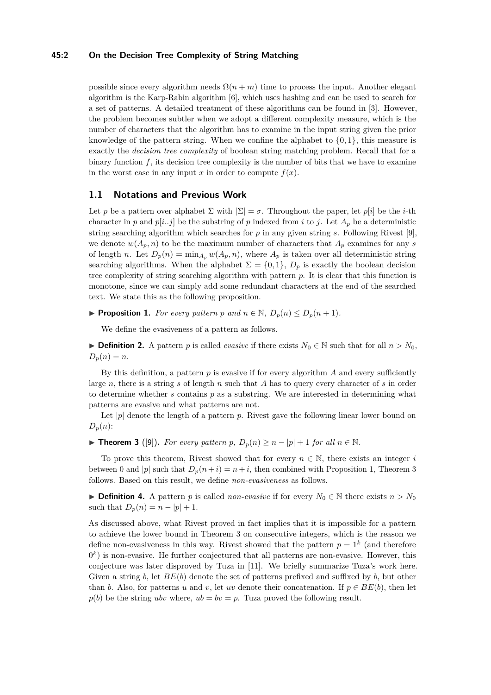#### **45:2 On the Decision Tree Complexity of String Matching**

possible since every algorithm needs  $\Omega(n+m)$  time to process the input. Another elegant algorithm is the Karp-Rabin algorithm [\[6\]](#page-12-2), which uses hashing and can be used to search for a set of patterns. A detailed treatment of these algorithms can be found in [\[3\]](#page-12-3). However, the problem becomes subtler when we adopt a different complexity measure, which is the number of characters that the algorithm has to examine in the input string given the prior knowledge of the pattern string. When we confine the alphabet to  $\{0, 1\}$ , this measure is exactly the *decision tree complexity* of boolean string matching problem. Recall that for a binary function  $f$ , its decision tree complexity is the number of bits that we have to examine in the worst case in any input  $x$  in order to compute  $f(x)$ .

# **1.1 Notations and Previous Work**

Let *p* be a pattern over alphabet  $\Sigma$  with  $|\Sigma| = \sigma$ . Throughout the paper, let *p*[*i*] be the *i*-th character in *p* and  $p[i..j]$  be the substring of *p* indexed from *i* to *j*. Let  $A_p$  be a deterministic string searching algorithm which searches for *p* in any given string *s*. Following Rivest [\[9\]](#page-12-4), we denote  $w(A_p, n)$  to be the maximum number of characters that  $A_p$  examines for any *s* of length *n*. Let  $D_p(n) = \min_{A_p} w(A_p, n)$ , where  $A_p$  is taken over all deterministic string searching algorithms. When the alphabet  $\Sigma = \{0, 1\}$ ,  $D_p$  is exactly the boolean decision tree complexity of string searching algorithm with pattern *p*. It is clear that this function is monotone, since we can simply add some redundant characters at the end of the searched text. We state this as the following proposition.

<span id="page-1-0"></span>▶ **Proposition 1.** *For every pattern p and*  $n \in \mathbb{N}$ *,*  $D_n(n) \leq D_n(n+1)$ *.* 

We define the evasiveness of a pattern as follows.

**► Definition 2.** A pattern *p* is called *evasive* if there exists  $N_0 \in \mathbb{N}$  such that for all  $n > N_0$ ,  $D_p(n) = n$ .

By this definition, a pattern *p* is evasive if for every algorithm *A* and every sufficiently large *n*, there is a string *s* of length *n* such that *A* has to query every character of *s* in order to determine whether *s* contains *p* as a substring. We are interested in determining what patterns are evasive and what patterns are not.

Let  $|p|$  denote the length of a pattern  $p$ . Rivest gave the following linear lower bound on  $D_p(n)$ :

<span id="page-1-1"></span>▶ **Theorem 3** ([\[9\]](#page-12-4)). For every pattern p,  $D_n(n) \ge n - |p| + 1$  for all  $n \in \mathbb{N}$ .

To prove this theorem, Rivest showed that for every  $n \in \mathbb{N}$ , there exists an integer *i* between 0 and |*p*| such that  $D_p(n+i) = n+i$ , then combined with Proposition [1,](#page-1-0) Theorem [3](#page-1-1) follows. Based on this result, we define *non-evasiveness* as follows.

**► Definition 4.** A pattern *p* is called *non-evasive* if for every  $N_0 \in \mathbb{N}$  there exists  $n > N_0$ such that  $D_p(n) = n - |p| + 1$ .

As discussed above, what Rivest proved in fact implies that it is impossible for a pattern to achieve the lower bound in Theorem [3](#page-1-1) on consecutive integers, which is the reason we define non-evasiveness in this way. Rivest showed that the pattern  $p = 1<sup>k</sup>$  (and therefore  $0<sup>k</sup>$ ) is non-evasive. He further conjectured that all patterns are non-evasive. However, this conjecture was later disproved by Tuza in [\[11\]](#page-12-5). We briefly summarize Tuza's work here. Given a string *b*, let *BE*(*b*) denote the set of patterns prefixed and suffixed by *b*, but other than *b*. Also, for patterns *u* and *v*, let *uv* denote their concatenation. If  $p \in BE(b)$ , then let  $p(b)$  be the string *ubv* where,  $ub = bv = p$ . Tuza proved the following result.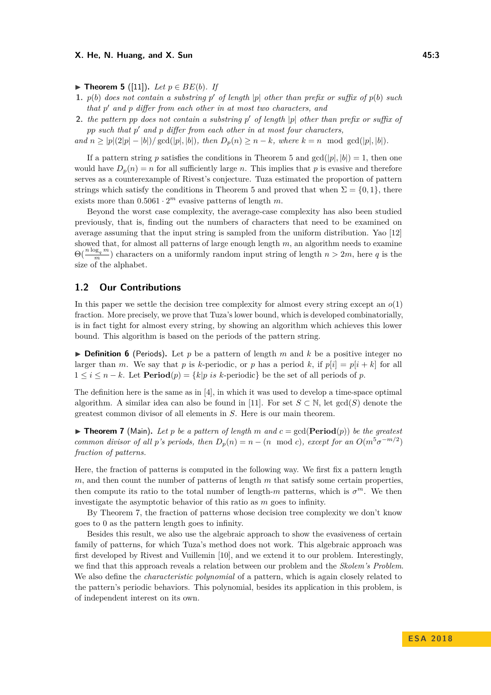<span id="page-2-0"></span>▶ **Theorem 5** ([\[11\]](#page-12-5)). *Let*  $p ∈ BE(b)$ . If

- **1.**  $p(b)$  does not contain a substring  $p'$  of length |p| other than prefix or suffix of  $p(b)$  such *that*  $p'$  *and*  $p$  *differ from each other in at most two characters, and*
- **2.** *the pattern pp does not contain a substring*  $p'$  *of length*  $|p|$  *other than prefix or suffix of pp such that p* <sup>0</sup> *and p differ from each other in at most four characters,*

and  $n \ge |p|(2|p|-|b|)/\gcd(|p|,|b|)$ , then  $D_p(n) \ge n-k$ , where  $k=n \mod \gcd(|p|,|b|)$ .

If a pattern string *p* satisfies the conditions in Theorem [5](#page-2-0) and  $gcd(|p|, |b|) = 1$ , then one would have  $D_p(n) = n$  for all sufficiently large *n*. This implies that *p* is evasive and therefore serves as a counterexample of Rivest's conjecture. Tuza estimated the proportion of pattern strings which satisfy the conditions in Theorem [5](#page-2-0) and proved that when  $\Sigma = \{0, 1\}$ , there exists more than  $0.5061 \cdot 2^m$  evasive patterns of length m.

Beyond the worst case complexity, the average-case complexity has also been studied previously, that is, finding out the numbers of characters that need to be examined on average assuming that the input string is sampled from the uniform distribution. Yao [\[12\]](#page-12-6) showed that, for almost all patterns of large enough length *m*, an algorithm needs to examine  $\Theta(\frac{n \log_q m}{m})$  characters on a uniformly random input string of length  $n > 2m$ , here *q* is the size of the alphabet.

# **1.2 Our Contributions**

In this paper we settle the decision tree complexity for almost every string except an *o*(1) fraction. More precisely, we prove that Tuza's lower bound, which is developed combinatorially, is in fact tight for almost every string, by showing an algorithm which achieves this lower bound. This algorithm is based on the periods of the pattern string.

**Definition 6** (Periods). Let p be a pattern of length m and k be a positive integer no larger than *m*. We say that *p* is *k*-periodic, or *p* has a period *k*, if  $p[i] = p[i + k]$  for all  $1 \leq i \leq n-k$ . Let  $\text{Period}(p) = \{k|p \text{ is } k\text{-periodic }\}$  be the set of all periods of p.

The definition here is the same as in [\[4\]](#page-12-7), in which it was used to develop a time-space optimal algorithm. A similar idea can also be found in [\[11\]](#page-12-5). For set  $S \subset \mathbb{N}$ , let  $gcd(S)$  denote the greatest common divisor of all elements in *S*. Here is our main theorem.

<span id="page-2-1"></span> $\triangleright$  **Theorem 7** (Main). Let p be a pattern of length m and  $c = \gcd(\mathbf{Period}(p))$  be the greatest *common divisor of all p*<sup>*'s*</sup> periods, then  $D_p(n) = n - (n \mod c)$ , except for an  $O(m^5\sigma^{-m/2})$ *fraction of patterns.*

Here, the fraction of patterns is computed in the following way. We first fix a pattern length *m*, and then count the number of patterns of length *m* that satisfy some certain properties, then compute its ratio to the total number of length-*m* patterns, which is  $\sigma^m$ . We then investigate the asymptotic behavior of this ratio as *m* goes to infinity.

By Theorem [7,](#page-2-1) the fraction of patterns whose decision tree complexity we don't know goes to 0 as the pattern length goes to infinity.

Besides this result, we also use the algebraic approach to show the evasiveness of certain family of patterns, for which Tuza's method does not work. This algebraic approach was first developed by Rivest and Vuillemin [\[10\]](#page-12-8), and we extend it to our problem. Interestingly, we find that this approach reveals a relation between our problem and the *Skolem's Problem*. We also define the *characteristic polynomial* of a pattern, which is again closely related to the pattern's periodic behaviors. This polynomial, besides its application in this problem, is of independent interest on its own.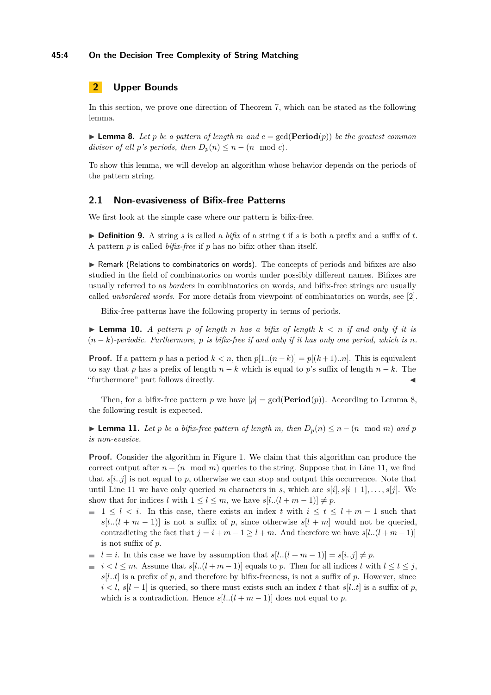### **45:4 On the Decision Tree Complexity of String Matching**

# **2 Upper Bounds**

In this section, we prove one direction of Theorem [7,](#page-2-1) which can be stated as the following lemma.

<span id="page-3-0"></span> $\blacktriangleright$  **Lemma 8.** Let p be a pattern of length m and  $c = \gcd(\text{Period}(p))$  be the greatest common *divisor of all p*<sup>*'s*</sup> *periods, then*  $D_p(n) \leq n - (n \mod c)$ *.* 

To show this lemma, we will develop an algorithm whose behavior depends on the periods of the pattern string.

### **2.1 Non-evasiveness of Bifix-free Patterns**

We first look at the simple case where our pattern is bifix-free.

 $\triangleright$  **Definition 9.** A string *s* is called a *bifix* of a string *t* if *s* is both a prefix and a suffix of *t*. A pattern *p* is called *bifix-free* if *p* has no bifix other than itself.

▶ Remark (Relations to combinatorics on words). The concepts of periods and bifixes are also studied in the field of combinatorics on words under possibly different names. Bifixes are usually referred to as *borders* in combinatorics on words, and bifix-free strings are usually called *unbordered words*. For more details from viewpoint of combinatorics on words, see [\[2\]](#page-12-9).

Bifix-free patterns have the following property in terms of periods.

<span id="page-3-1"></span> $\triangleright$  **Lemma 10.** *A pattern p of length n has a bifix of length k*  $\lt n$  *if and only if it is*  $(n - k)$ -periodic. Furthermore, p is bifix-free if and only if it has only one period, which is n.

**Proof.** If a pattern *p* has a period  $k < n$ , then  $p[1..(n-k)] = p[(k+1)..n]$ . This is equivalent to say that *p* has a prefix of length  $n - k$  which is equal to *p*'s suffix of length  $n - k$ . The "furthermore" part follows directly. J

Then, for a bifix-free pattern *p* we have  $|p| = \gcd(\mathbf{Period}(p))$ . According to Lemma [8,](#page-3-0) the following result is expected.

► **Lemma 11.** *Let p be a bifix-free pattern of length m, then*  $D_p(n) \leq n - (n \mod m)$  *and p is non-evasive.*

**Proof.** Consider the algorithm in Figure [1.](#page-4-0) We claim that this algorithm can produce the correct output after  $n - (n \mod m)$  queries to the string. Suppose that in Line 11, we find that  $s[i..j]$  is not equal to p, otherwise we can stop and output this occurrence. Note that until Line 11 we have only queried *m* characters in *s*, which are  $s[i], s[i+1], \ldots, s[j]$ . We show that for indices *l* with  $1 \leq l \leq m$ , we have  $s[l..(l+m-1)] \neq p$ .

- $\blacksquare$  1 < *l* < *i*. In this case, there exists an index *t* with  $i \leq t \leq l + m 1$  such that  $s[t..(l+m-1)]$  is not a suffix of *p*, since otherwise  $s[l+m]$  would not be queried, contradicting the fact that  $j = i + m - 1 \geq l + m$ . And therefore we have  $s[l..(l+m-1)]$ is not suffix of *p*.
- $l = i$ *. In this case we have by assumption that*  $s[l..(l + m 1)] = s[i..j] ≠ p$ *.*
- $\blacksquare$  *i* < *l* ≤ *m*. Assume that *s*[*l..*(*l* + *m* − 1)] equals to *p*. Then for all indices *t* with  $l \le t \le j$ ,  $s[l..t]$  is a prefix of  $p$ , and therefore by bifix-freeness, is not a suffix of  $p$ . However, since  $i < l$ ,  $s[l - 1]$  is queried, so there must exists such an index t that  $s[l..t]$  is a suffix of p, which is a contradiction. Hence  $s[l..(l+m-1)]$  does not equal to *p*.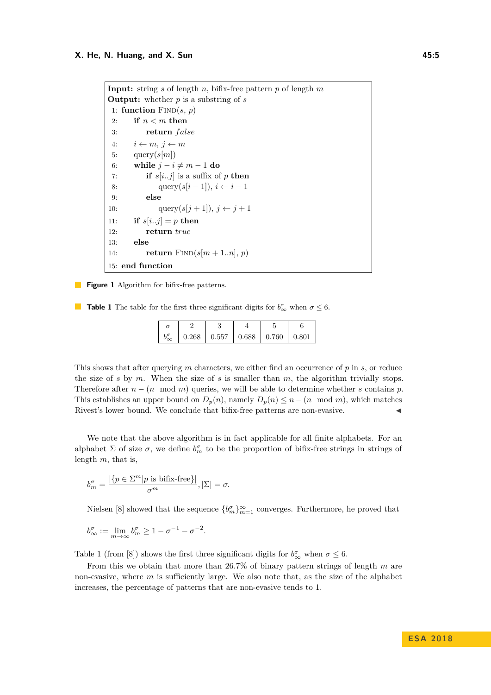<span id="page-4-0"></span>**Input:** string *s* of length *n*, bifix-free pattern  $p$  of length  $m$ **Output:** whether *p* is a substring of *s* 1: **function**  $\text{FIND}(s, p)$ 2: **if** *n < m* **then** 3: **return** *f alse* 4:  $i \leftarrow m, j \leftarrow m$ 5: query(*s*[*m*]) 6: **while**  $j - i \neq m - 1$  **do** 7: **if**  $s[i..j]$  is a suffix of *p* **then** 8: query( $s[i-1]$ ),  $i \leftarrow i-1$ 9: **else** 10:  $\text{query}(s[j + 1]), j \leftarrow j + 1$ 11: **if**  $s[i..j] = p$  **then** 12: **return** *true* 13: **else** 14: **return**  $\text{FIND}(s[m+1..n], p)$ 15: **end function**

**Figure 1** Algorithm for bifix-free patterns.

<span id="page-4-1"></span>**Table 1** The table for the first three significant digits for  $b_{\infty}^{\sigma}$  when  $\sigma \leq 6$ .

|  |  | $0.268$   $0.557$   $0.688$   $0.760$ | 0.801 |
|--|--|---------------------------------------|-------|

This shows that after querying *m* characters, we either find an occurrence of *p* in *s*, or reduce the size of *s* by *m*. When the size of *s* is smaller than *m*, the algorithm trivially stops. Therefore after  $n - (n \mod m)$  queries, we will be able to determine whether *s* contains *p*. This establishes an upper bound on  $D_p(n)$ , namely  $D_p(n) \leq n - (n \mod m)$ , which matches Rivest's lower bound. We conclude that bifix-free patterns are non-evasive.  $\blacktriangleleft$ 

We note that the above algorithm is in fact applicable for all finite alphabets. For an alphabet  $\Sigma$  of size  $\sigma$ , we define  $b_m^{\sigma}$  to be the proportion of bifix-free strings in strings of length *m*, that is,

$$
b_m^\sigma = \frac{|\{p \in \Sigma^m | p \text{ is bifix-free}\}|}{\sigma^m}, |\Sigma| = \sigma.
$$

Nielsen [\[8\]](#page-12-10) showed that the sequence  ${b_m^{\sigma}}_{m=1}^{\infty}$  converges. Furthermore, he proved that

$$
b_{\infty}^{\sigma} := \lim_{m \to \infty} b_m^{\sigma} \ge 1 - \sigma^{-1} - \sigma^{-2}.
$$

Table [1](#page-4-1) (from [\[8\]](#page-12-10)) shows the first three significant digits for  $b_{\infty}^{\sigma}$  when  $\sigma \leq 6$ .

From this we obtain that more than 26.7% of binary pattern strings of length *m* are non-evasive, where  $m$  is sufficiently large. We also note that, as the size of the alphabet increases, the percentage of patterns that are non-evasive tends to 1.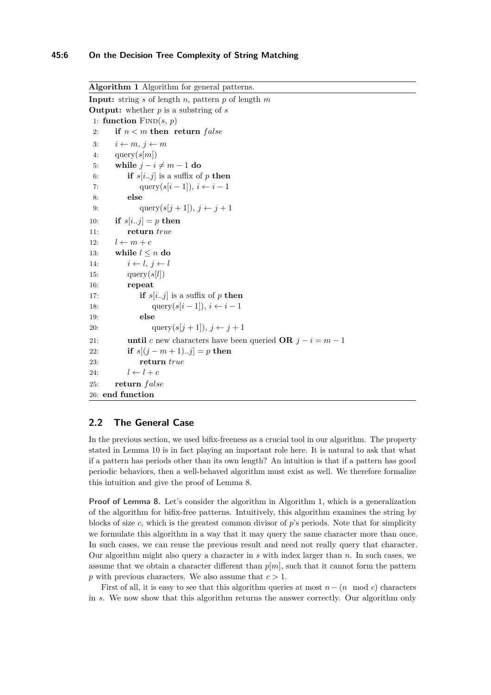<span id="page-5-0"></span>**Algorithm 1** Algorithm for general patterns. **Input:** string *s* of length *n*, pattern *p* of length *m* **Output:** whether *p* is a substring of *s* 1: **function**  $\text{FIND}(s, p)$ 2: **if**  $n < m$  **then return**  $false$ 3:  $i \leftarrow m, j \leftarrow m$ 4: query $(s[m])$ 5: **while**  $j - i \neq m - 1$  **do** 6: **if**  $s[i..j]$  is a suffix of *p* **then** 7: query( $s[i-1]$ ),  $i \leftarrow i-1$ 8: **else** 9:  $\text{query}(s[j + 1]), j \leftarrow j + 1$ 10: **if**  $s[i..j] = p$  **then** 11: **return** *true* 12:  $l \leftarrow m + c$ 13: **while**  $l \leq n$  **do** 14:  $i \leftarrow l, j \leftarrow l$ 15: query(*s*[*l*]) 16: **repeat** 17: **if**  $s[i..j]$  is a suffix of *p* **then** 18: query( $s[i-1]$ ),  $i \leftarrow i-1$ 19: **else** 20:  $\text{query}(s[j+1]), j \leftarrow j+1$ 21: **until** *c* new characters have been queried **OR**  $j - i = m - 1$ 22: **if**  $s[(j - m + 1)...j] = p$  **then** 23: **return** *true* 24:  $l \leftarrow l + c$ 25: **return** *f alse* 26: **end function**

# **2.2 The General Case**

In the previous section, we used bifix-freeness as a crucial tool in our algorithm. The property stated in Lemma [10](#page-3-1) is in fact playing an important role here. It is natural to ask that what if a pattern has periods other than its own length? An intuition is that if a pattern has good periodic behaviors, then a well-behaved algorithm must exist as well. We therefore formalize this intuition and give the proof of Lemma [8.](#page-3-0)

**Proof of Lemma [8.](#page-3-0)** Let's consider the algorithm in Algorithm [1,](#page-5-0) which is a generalization of the algorithm for bifix-free patterns. Intuitively, this algorithm examines the string by blocks of size *c*, which is the greatest common divisor of *p*'s periods. Note that for simplicity we formulate this algorithm in a way that it may query the same character more than once. In such cases, we can reuse the previous result and need not really query that character. Our algorithm might also query a character in *s* with index larger than *n*. In such cases, we assume that we obtain a character different than  $p[m]$ , such that it cannot form the pattern *p* with previous characters. We also assume that *c >* 1.

First of all, it is easy to see that this algorithm queries at most  $n - (n \mod c)$  characters in *s*. We now show that this algorithm returns the answer correctly. Our algorithm only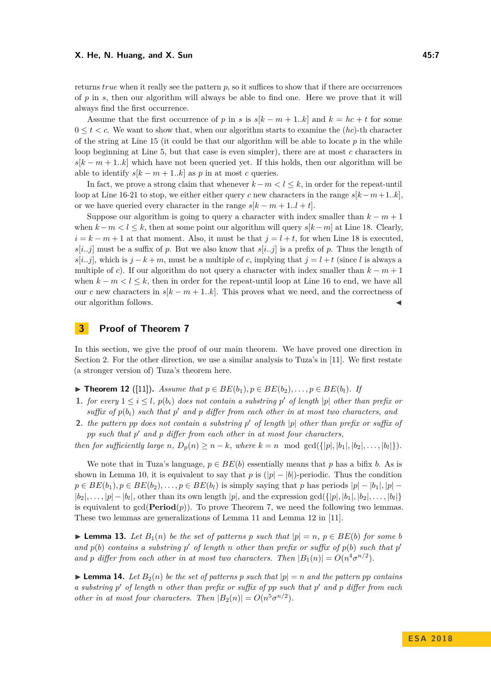#### **X.** He, N. Huang, and X. Sun 45:7

returns *true* when it really see the pattern *p*, so it suffices to show that if there are occurrences of *p* in *s*, then our algorithm will always be able to find one. Here we prove that it will always find the first occurrence.

Assume that the first occurrence of *p* in *s* is  $s[k - m + 1..k]$  and  $k = hc + t$  for some  $0 \leq t < c$ . We want to show that, when our algorithm starts to examine the  $(hc)$ -th character of the string at Line 15 (it could be that our algorithm will be able to locate *p* in the while loop beginning at Line 5, but that case is even simpler), there are at most *c* characters in  $s[k - m + 1..k]$  which have not been queried yet. If this holds, then our algorithm will be able to identify  $s[k - m + 1..k]$  as p in at most c queries.

In fact, we prove a strong claim that whenever  $k - m < l \leq k$ , in order for the repeat-until loop at Line 16-21 to stop, we either either query *c* new characters in the range  $s[k-m+1..k]$ . or we have queried every character in the range  $s[k - m + 1..l + t]$ .

Suppose our algorithm is going to query a character with index smaller than  $k - m + 1$ when  $k - m < l \leq k$ , then at some point our algorithm will query  $s[k - m]$  at Line 18. Clearly,  $i = k - m + 1$  at that moment. Also, it must be that  $j = l + t$ , for when Line 18 is executed.  $s[i..j]$  must be a suffix of *p*. But we also know that  $s[i..j]$  is a prefix of *p*. Thus the length of  $s[i..j]$ , which is  $j - k + m$ , must be a multiple of *c*, implying that  $j = l + t$  (since *l* is always a multiple of *c*). If our algorithm do not query a character with index smaller than  $k - m + 1$ when  $k - m < l \leq k$ , then in order for the repeat-until loop at Line 16 to end, we have all our *c* new characters in  $s[k - m + 1..k]$ . This proves what we need, and the correctness of our algorithm follows.

# **3 Proof of Theorem [7](#page-2-1)**

In this section, we give the proof of our main theorem. We have proved one direction in Section 2. For the other direction, we use a similar analysis to Tuza's in [\[11\]](#page-12-5). We first restate (a stronger version of) Tuza's theorem here.

<span id="page-6-0"></span>▶ **Theorem 12** ([\[11\]](#page-12-5)). *Assume that*  $p ∈ BE(b_1), p ∈ BE(b_2), ..., p ∈ BE(b_l)$ *. If* 

- **1.** *for every*  $1 \leq i \leq l$ ,  $p(b_i)$  *does not contain a substring*  $p'$  *of length*  $|p|$  *other than prefix or*  $suffix of p(b_i) such that p' and p differ from each other in at most two characters, and$
- **2.** *the pattern pp does not contain a substring*  $p'$  *of length*  $|p|$  *other than prefix or suffix of pp such that p* <sup>0</sup> *and p differ from each other in at most four characters,*

then for sufficiently large n,  $D_p(n) \ge n - k$ , where  $k = n \mod \gcd(\{|p|, |b_1|, |b_2|, \ldots, |b_l|\}).$ 

We note that in Tuza's language,  $p \in BE(b)$  essentially means that p has a bifix b. As is shown in Lemma [10,](#page-3-1) it is equivalent to say that *p* is  $(|p| - |b|)$ -periodic. Thus the condition  $p \in BE(b_1), p \in BE(b_2), \ldots, p \in BE(b_l)$  is simply saying that *p* has periods  $|p| - |b_1|, |p| |b_2|, \ldots, |p| - |b_l|$ , other than its own length  $|p|$ , and the expression  $gcd({\{|p|, |b_1|, |b_2|, \ldots, |b_l|\}})$ is equivalent to  $gcd(Period(p))$ . To prove Theorem [7,](#page-2-1) we need the following two lemmas. These two lemmas are generalizations of Lemma 11 and Lemma 12 in [\[11\]](#page-12-5).

<span id="page-6-1"></span>► **Lemma 13.** Let  $B_1(n)$  be the set of patterns p such that  $|p| = n$ ,  $p \in BE(b)$  for some *b* and  $p(b)$  contains a substring  $p'$  of length  $n$  other than prefix or suffix of  $p(b)$  such that  $p'$ *and p* differ from each other in at most two characters. Then  $|B_1(n)| = O(n^4 \sigma^{n/2})$ .

<span id="page-6-2"></span> $\blacktriangleright$  **Lemma 14.** Let  $B_2(n)$  be the set of patterns p such that  $|p| = n$  and the pattern pp contains *a substring p* <sup>0</sup> *of length n other than prefix or suffix of pp such that p* <sup>0</sup> *and p differ from each other in at most four characters. Then*  $|B_2(n)| = O(n^5 \sigma^{n/2})$ *.*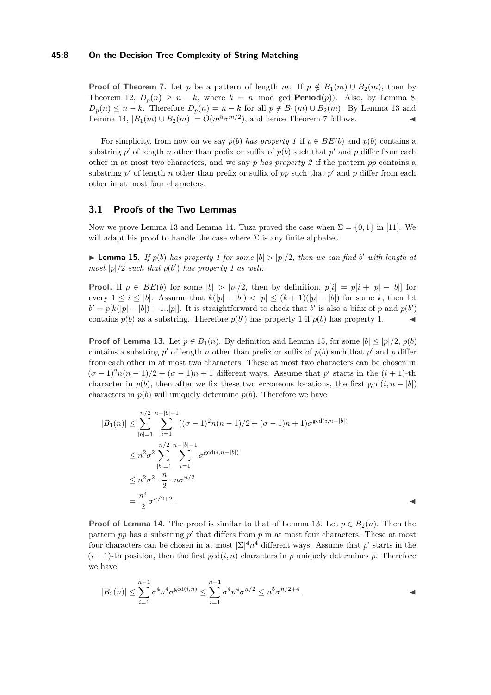#### **45:8 On the Decision Tree Complexity of String Matching**

**Proof of Theorem [7.](#page-2-1)** Let *p* be a pattern of length *m*. If  $p \notin B_1(m) \cup B_2(m)$ , then by Theorem [12,](#page-6-0)  $D_p(n) \geq n - k$ , where  $k = n \mod \gcd(\mathbf{Period}(p))$ . Also, by Lemma [8,](#page-3-0)  $D_p(n) \leq n - k$ . Therefore  $D_p(n) = n - k$  for all  $p \notin B_1(m) \cup B_2(m)$ . By Lemma [13](#page-6-1) and Lemma [14,](#page-6-2)  $|B_1(m) \cup B_2(m)| = O(m^5 \sigma^{m/2})$ , and hence Theorem [7](#page-2-1) follows.

For simplicity, from now on we say  $p(b)$  *has property 1* if  $p \in BE(b)$  and  $p(b)$  contains a substring  $p'$  of length  $n$  other than prefix or suffix of  $p(b)$  such that  $p'$  and  $p$  differ from each other in at most two characters, and we say *p has property 2* if the pattern *pp* contains a substring  $p'$  of length *n* other than prefix or suffix of  $pp$  such that  $p'$  and  $p$  differ from each other in at most four characters.

### **3.1 Proofs of the Two Lemmas**

Now we prove Lemma [13](#page-6-1) and Lemma [14.](#page-6-2) Tuza proved the case when  $\Sigma = \{0, 1\}$  in [\[11\]](#page-12-5). We will adapt his proof to handle the case where  $\Sigma$  is any finite alphabet.

<span id="page-7-0"></span>**Example 15.** *If*  $p(b)$  *has property 1 for some*  $|b| > |p|/2$ *, then we can find b*<sup>*'*</sup> *with length at most*  $|p|/2$  *such that*  $p(b')$  *has property 1 as well.* 

**Proof.** If  $p \in BE(b)$  for some  $|b| > |p|/2$ , then by definition,  $p[i] = p[i + |p| - |b|]$  for every  $1 \leq i \leq |b|$ . Assume that  $k(|p|-|b|) < |p| \leq (k+1)(|p|-|b|)$  for some k, then let  $b' = p[k(|p| - |b|) + 1..|p|]$ . It is straightforward to check that *b*' is also a bifix of *p* and  $p(b')$ contains  $p(b)$  as a substring. Therefore  $p(b')$  has property 1 if  $p(b)$  has property 1.

**Proof of Lemma [13.](#page-6-1)** Let  $p \in B_1(n)$ . By definition and Lemma [15,](#page-7-0) for some  $|b| \le |p|/2$ ,  $p(b)$ contains a substring  $p'$  of length  $n$  other than prefix or suffix of  $p(b)$  such that  $p'$  and  $p$  differ from each other in at most two characters. These at most two characters can be chosen in  $(\sigma - 1)^2 n(n-1)/2 + (\sigma - 1)n + 1$  different ways. Assume that p' starts in the  $(i + 1)$ -th character in  $p(b)$ , then after we fix these two erroneous locations, the first  $gcd(i, n - |b|)$ characters in  $p(b)$  will uniquely determine  $p(b)$ . Therefore we have

$$
|B_1(n)| \le \sum_{|b|=1}^{n/2} \sum_{i=1}^{n-|b|-1} ((\sigma - 1)^2 n(n-1)/2 + (\sigma - 1)n + 1)\sigma^{\gcd(i,n-|b|)}
$$
  

$$
\le n^2 \sigma^2 \sum_{|b|=1}^{n/2} \sum_{i=1}^{n-|b|-1} \sigma^{\gcd(i,n-|b|)}
$$
  

$$
\le n^2 \sigma^2 \cdot \frac{n}{2} \cdot n \sigma^{n/2}
$$
  

$$
= \frac{n^4}{2} \sigma^{n/2+2}.
$$

**Proof of Lemma [14.](#page-6-2)** The proof is similar to that of Lemma [13.](#page-6-1) Let  $p \in B_2(n)$ . Then the pattern  $pp$  has a substring  $p'$  that differs from  $p$  in at most four characters. These at most four characters can be chosen in at most  $|\Sigma|^4 n^4$  different ways. Assume that  $p'$  starts in the  $(i+1)$ -th position, then the first  $gcd(i, n)$  characters in p uniquely determines p. Therefore we have

$$
|B_2(n)| \le \sum_{i=1}^{n-1} \sigma^4 n^4 \sigma^{\gcd(i,n)} \le \sum_{i=1}^{n-1} \sigma^4 n^4 \sigma^{n/2} \le n^5 \sigma^{n/2+4}.
$$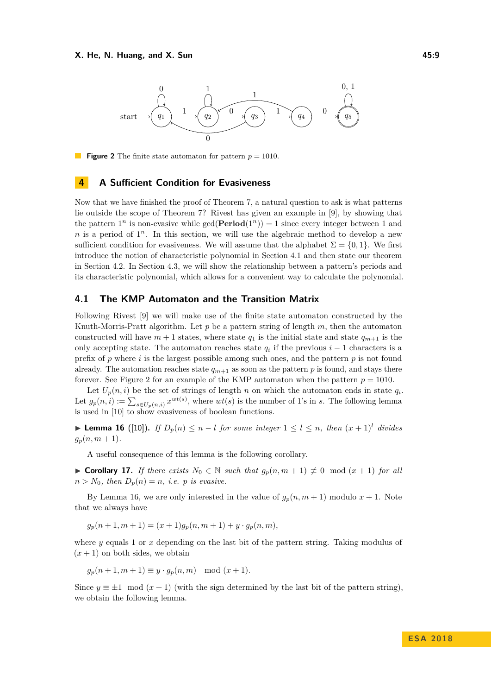#### <span id="page-8-1"></span>**X.** He, N. Huang, and X. Sun 45:9



**Figure 2** The finite state automaton for pattern  $p = 1010$ .

### **4 A Sufficient Condition for Evasiveness**

Now that we have finished the proof of Theorem [7,](#page-2-1) a natural question to ask is what patterns lie outside the scope of Theorem [7?](#page-2-1) Rivest has given an example in [\[9\]](#page-12-4), by showing that the pattern  $1^n$  is non-evasive while  $gcd(Period(1^n)) = 1$  since every integer between 1 and  $n$  is a period of  $1^n$ . In this section, we will use the algebraic method to develop a new sufficient condition for evasiveness. We will assume that the alphabet  $\Sigma = \{0, 1\}$ . We first introduce the notion of characteristic polynomial in Section [4.1](#page-8-0) and then state our theorem in Section [4.2.](#page-10-0) In Section [4.3,](#page-11-0) we will show the relationship between a pattern's periods and its characteristic polynomial, which allows for a convenient way to calculate the polynomial.

### <span id="page-8-0"></span>**4.1 The KMP Automaton and the Transition Matrix**

Following Rivest [\[9\]](#page-12-4) we will make use of the finite state automaton constructed by the Knuth-Morris-Pratt algorithm. Let *p* be a pattern string of length *m*, then the automaton constructed will have  $m + 1$  states, where state  $q_1$  is the initial state and state  $q_{m+1}$  is the only accepting state. The automaton reaches state  $q_i$  if the previous  $i-1$  characters is a prefix of  $p$  where  $i$  is the largest possible among such ones, and the pattern  $p$  is not found already. The automation reaches state  $q_{m+1}$  as soon as the pattern p is found, and stays there forever. See Figure [2](#page-8-1) for an example of the KMP automaton when the pattern  $p = 1010$ .

Let  $U_p(n,i)$  be the set of strings of length *n* on which the automaton ends in state  $q_i$ . Let  $g_p(n, i) := \sum_{s \in U_p(n,i)} x^{wt(s)}$ , where  $wt(s)$  is the number of 1's in *s*. The following lemma is used in [\[10\]](#page-12-8) to show evasiveness of boolean functions.

<span id="page-8-2"></span>▶ **Lemma 16** ([\[10\]](#page-12-8)). *If*  $D_p(n) \le n - l$  *for some integer*  $1 \le l \le n$ *, then*  $(x + 1)^l$  *divides*  $g_p(n, m+1)$ .

A useful consequence of this lemma is the following corollary.

▶ Corollary 17. If there exists  $N_0 \in \mathbb{N}$  such that  $g_p(n, m + 1) \neq 0 \mod (x + 1)$  for all  $n > N_0$ *, then*  $D_p(n) = n$ *, i.e. p is evasive.* 

By Lemma [16,](#page-8-2) we are only interested in the value of  $g_p(n, m + 1)$  modulo  $x + 1$ . Note that we always have

 $g_p(n+1, m+1) = (x+1)g_p(n, m+1) + y \cdot g_p(n, m)$ 

where *y* equals 1 or *x* depending on the last bit of the pattern string. Taking modulus of  $(x + 1)$  on both sides, we obtain

 $g_p(n+1, m+1) \equiv y \cdot g_p(n, m) \mod (x+1).$ 

Since  $y \equiv \pm 1 \mod (x+1)$  (with the sign determined by the last bit of the pattern string), we obtain the following lemma.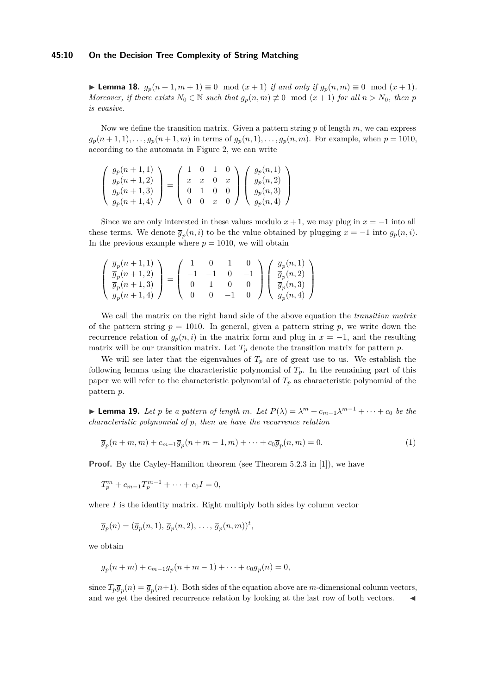#### **45:10 On the Decision Tree Complexity of String Matching**

► **Lemma 18.**  $g_p(n+1, m+1) \equiv 0 \mod (x+1)$  *if and only if*  $g_p(n, m) \equiv 0 \mod (x+1)$ *. Moreover, if there exists*  $N_0 \in \mathbb{N}$  *such that*  $g_p(n,m) \not\equiv 0 \mod (x+1)$  *for all*  $n > N_0$ *, then p is evasive.*

Now we define the transition matrix. Given a pattern string *p* of length *m*, we can express  $g_p(n+1,1), \ldots, g_p(n+1,m)$  in terms of  $g_p(n,1), \ldots, g_p(n,m)$ . For example, when  $p = 1010$ , according to the automata in Figure [2,](#page-8-1) we can write

$$
\left(\begin{array}{c} g_p(n+1,1) \\ g_p(n+1,2) \\ g_p(n+1,3) \\ g_p(n+1,4) \end{array}\right) = \left(\begin{array}{cccc} 1 & 0 & 1 & 0 \\ x & x & 0 & x \\ 0 & 1 & 0 & 0 \\ 0 & 0 & x & 0 \end{array}\right) \left(\begin{array}{c} g_p(n,1) \\ g_p(n,2) \\ g_p(n,3) \\ g_p(n,4) \end{array}\right)
$$

Since we are only interested in these values modulo  $x + 1$ , we may plug in  $x = -1$  into all these terms. We denote  $\overline{g}_p(n,i)$  to be the value obtained by plugging  $x = -1$  into  $g_p(n,i)$ . In the previous example where  $p = 1010$ , we will obtain

$$
\left( \begin{array}{c} \overline{g}_p(n+1,1) \\ \overline{g}_p(n+1,2) \\ \overline{g}_p(n+1,3) \\ \overline{g}_p(n+1,4) \end{array} \right) = \left( \begin{array}{cccc} 1 & 0 & 1 & 0 \\ -1 & -1 & 0 & -1 \\ 0 & 1 & 0 & 0 \\ 0 & 0 & -1 & 0 \end{array} \right) \left( \begin{array}{c} \overline{g}_p(n,1) \\ \overline{g}_p(n,2) \\ \overline{g}_p(n,3) \\ \overline{g}_p(n,4) \end{array} \right)
$$

We call the matrix on the right hand side of the above equation the *transition matrix* of the pattern string  $p = 1010$ . In general, given a pattern string  $p$ , we write down the recurrence relation of  $g_p(n, i)$  in the matrix form and plug in  $x = -1$ , and the resulting matrix will be our transition matrix. Let  $T_p$  denote the transition matrix for pattern  $p$ .

We will see later that the eigenvalues of  $T_p$  are of great use to us. We establish the following lemma using the characteristic polynomial of  $T_p$ . In the remaining part of this paper we will refer to the characteristic polynomial of  $T_p$  as characteristic polynomial of the pattern *p*.

<span id="page-9-0"></span>► **Lemma 19.** Let *p be a pattern of length m.* Let  $P(\lambda) = \lambda^m + c_{m-1}\lambda^{m-1} + \cdots + c_0$  *be the characteristic polynomial of p, then we have the recurrence relation*

$$
\overline{g}_p(n+m,m) + c_{m-1}\overline{g}_p(n+m-1,m) + \dots + c_0\overline{g}_p(n,m) = 0.
$$
\n(1)

**Proof.** By the Cayley-Hamilton theorem (see Theorem 5.2.3 in [\[1\]](#page-12-11)), we have

$$
T_p^m + c_{m-1}T_p^{m-1} + \dots + c_0I = 0,
$$

where  $I$  is the identity matrix. Right multiply both sides by column vector

$$
\overline{g}_p(n) = (\overline{g}_p(n,1), \overline{g}_p(n,2), \ldots, \overline{g}_p(n,m))^t,
$$

we obtain

$$
\overline{g}_p(n+m) + c_{m-1}\overline{g}_p(n+m-1) + \cdots + c_0\overline{g}_p(n) = 0,
$$

since  $T_p \overline{g}_p(n) = \overline{g}_p(n+1)$ . Both sides of the equation above are *m*-dimensional column vectors, and we get the desired recurrence relation by looking at the last row of both vectors.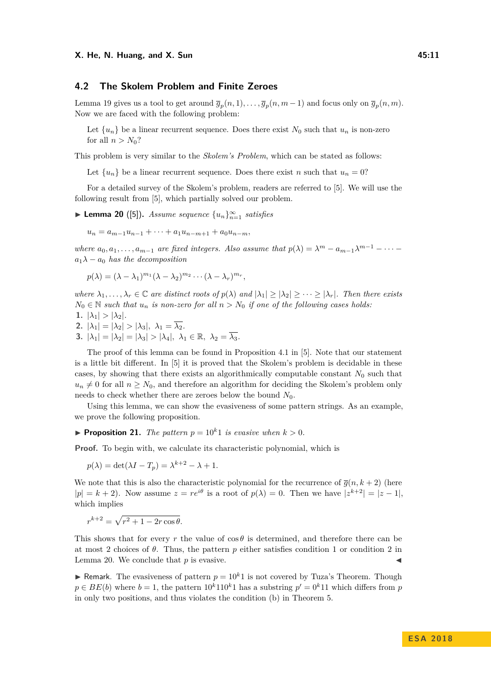### <span id="page-10-0"></span>**4.2 The Skolem Problem and Finite Zeroes**

Lemma [19](#page-9-0) gives us a tool to get around  $\overline{g}_p(n,1), \ldots, \overline{g}_p(n,m-1)$  and focus only on  $\overline{g}_p(n,m)$ . Now we are faced with the following problem:

Let  $\{u_n\}$  be a linear recurrent sequence. Does there exist  $N_0$  such that  $u_n$  is non-zero for all  $n > N_0$ ?

This problem is very similar to the *Skolem's Problem*, which can be stated as follows:

Let  $\{u_n\}$  be a linear recurrent sequence. Does there exist *n* such that  $u_n = 0$ ?

For a detailed survey of the Skolem's problem, readers are referred to [\[5\]](#page-12-12). We will use the following result from [\[5\]](#page-12-12), which partially solved our problem.

<span id="page-10-1"></span>I **Lemma 20** ([\[5\]](#page-12-12))**.** *Assume sequence* {*un*}<sup>∞</sup> *<sup>n</sup>*=1 *satisfies*

 $u_n = a_{m-1}u_{n-1} + \cdots + a_1u_{n-m+1} + a_0u_{n-m}$ 

*where*  $a_0, a_1, \ldots, a_{m-1}$  are fixed integers. Also assume that  $p(\lambda) = \lambda^m - a_{m-1}\lambda^{m-1} - \cdots$  $a_1\lambda - a_0$  *has the decomposition* 

$$
p(\lambda) = (\lambda - \lambda_1)^{m_1} (\lambda - \lambda_2)^{m_2} \cdots (\lambda - \lambda_r)^{m_r},
$$

*where*  $\lambda_1, \ldots, \lambda_r \in \mathbb{C}$  *are distinct roots of*  $p(\lambda)$  *and*  $|\lambda_1| \geq |\lambda_2| \geq \cdots \geq |\lambda_r|$ *. Then there exists*  $N_0 \in \mathbb{N}$  *such that*  $u_n$  *is non-zero for all*  $n > N_0$  *if one of the following cases holds:* 

**1.**  $|\lambda_1| > |\lambda_2|$ .

2. 
$$
|\lambda_1| = |\lambda_2| > |\lambda_3|, \lambda_1 = \lambda_2
$$
.

**3.**  $|\lambda_1| = |\lambda_2| = |\lambda_3| > |\lambda_4|, \lambda_1 \in \mathbb{R}, \lambda_2 = \overline{\lambda_3}.$ 

The proof of this lemma can be found in Proposition 4.1 in [\[5\]](#page-12-12). Note that our statement is a little bit different. In [\[5\]](#page-12-12) it is proved that the Skolem's problem is decidable in these cases, by showing that there exists an algorithmically computable constant  $N_0$  such that  $u_n \neq 0$  for all  $n \geq N_0$ , and therefore an algorithm for deciding the Skolem's problem only needs to check whether there are zeroes below the bound *N*0.

Using this lemma, we can show the evasiveness of some pattern strings. As an example, we prove the following proposition.

**Proposition 21.** *The pattern*  $p = 10<sup>k</sup>1$  *is evasive when*  $k > 0$ *.* 

**Proof.** To begin with, we calculate its characteristic polynomial, which is

$$
p(\lambda) = \det(\lambda I - T_p) = \lambda^{k+2} - \lambda + 1.
$$

We note that this is also the characteristic polynomial for the recurrence of  $\overline{q}(n, k+2)$  (here  $|p| = k + 2$ ). Now assume  $z = re^{i\theta}$  is a root of  $p(\lambda) = 0$ . Then we have  $|z^{k+2}| = |z - 1|$ , which implies

 $r^{k+2} = \sqrt{r^2 + 1 - 2r \cos \theta}.$ 

This shows that for every r the value of  $\cos \theta$  is determined, and therefore there can be at most 2 choices of  $\theta$ . Thus, the pattern p either satisfies condition 1 or condition 2 in Lemma [20.](#page-10-1) We conclude that  $p$  is evasive.

**In Remark.** The evasiveness of pattern  $p = 10<sup>k</sup>1$  is not covered by Tuza's Theorem. Though  $p \in BE(b)$  where  $b = 1$ , the pattern  $10<sup>k</sup>110<sup>k</sup>1$  has a substring  $p' = 0<sup>k</sup>11$  which differs from *p* in only two positions, and thus violates the condition (b) in Theorem [5.](#page-2-0)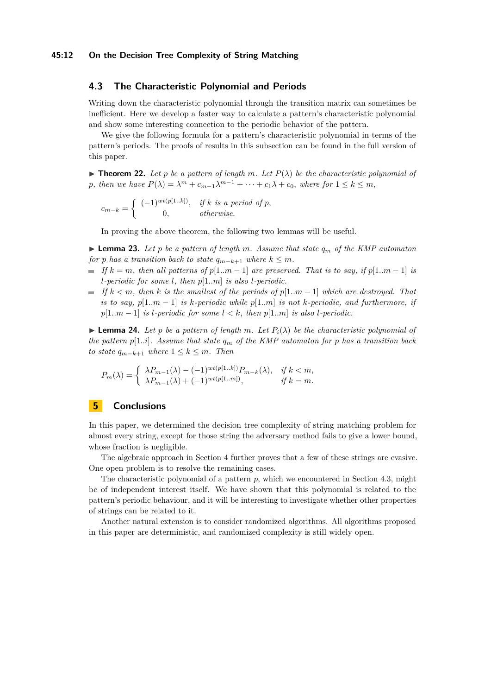## <span id="page-11-0"></span>**4.3 The Characteristic Polynomial and Periods**

Writing down the characteristic polynomial through the transition matrix can sometimes be inefficient. Here we develop a faster way to calculate a pattern's characteristic polynomial and show some interesting connection to the periodic behavior of the pattern.

We give the following formula for a pattern's characteristic polynomial in terms of the pattern's periods. The proofs of results in this subsection can be found in the full version of this paper.

**Find 22.** Let p be a pattern of length m. Let  $P(\lambda)$  be the characteristic polynomial of *p*, then we have  $P(\lambda) = \lambda^m + c_{m-1}\lambda^{m-1} + \cdots + c_1\lambda + c_0$ , where for  $1 \leq k \leq m$ ,

$$
c_{m-k} = \begin{cases} (-1)^{wt(p[1..k])}, & \text{if } k \text{ is a period of } p, \\ 0, & \text{otherwise.} \end{cases}
$$

In proving the above theorem, the following two lemmas will be useful.

 $\blacktriangleright$  **Lemma 23.** Let p be a pattern of length m. Assume that state  $q_m$  of the KMP automaton *for p has a transition back to state*  $q_{m-k+1}$  *where*  $k \leq m$ *.* 

- $\blacksquare$  *If*  $k = m$ , then all patterns of  $p[1..m-1]$  are preserved. That is to say, if  $p[1..m-1]$  is *l-periodic for some l, then p*[1*..m*] *is also l-periodic.*
- $\blacksquare$  *If*  $k < m$ , then  $k$  is the smallest of the periods of  $p[1..m-1]$  which are destroyed. That *is to say,*  $p[1..m-1]$  *is k-periodic while*  $p[1..m]$  *is not k-periodic, and furthermore, if*  $p[1..m-1]$  *is l*-periodic for some  $l < k$ , then  $p[1..m]$  *is also l*-periodic.

**Lemma 24.** Let p be a pattern of length m. Let  $P_i(\lambda)$  be the characteristic polynomial of *the pattern*  $p[1..i]$ *. Assume that state*  $q_m$  *of the KMP automaton for p has a transition back to state*  $q_{m-k+1}$  *where*  $1 ≤ k ≤ m$ *. Then* 

$$
P_m(\lambda) = \begin{cases} \lambda P_{m-1}(\lambda) - (-1)^{wt(p[1..k])} P_{m-k}(\lambda), & \text{if } k < m, \\ \lambda P_{m-1}(\lambda) + (-1)^{wt(p[1..m])}, & \text{if } k = m. \end{cases}
$$

# **5 Conclusions**

In this paper, we determined the decision tree complexity of string matching problem for almost every string, except for those string the adversary method fails to give a lower bound, whose fraction is negligible.

The algebraic approach in Section 4 further proves that a few of these strings are evasive. One open problem is to resolve the remaining cases.

The characteristic polynomial of a pattern  $p$ , which we encountered in Section [4.3,](#page-11-0) might be of independent interest itself. We have shown that this polynomial is related to the pattern's periodic behaviour, and it will be interesting to investigate whether other properties of strings can be related to it.

Another natural extension is to consider randomized algorithms. All algorithms proposed in this paper are deterministic, and randomized complexity is still widely open.